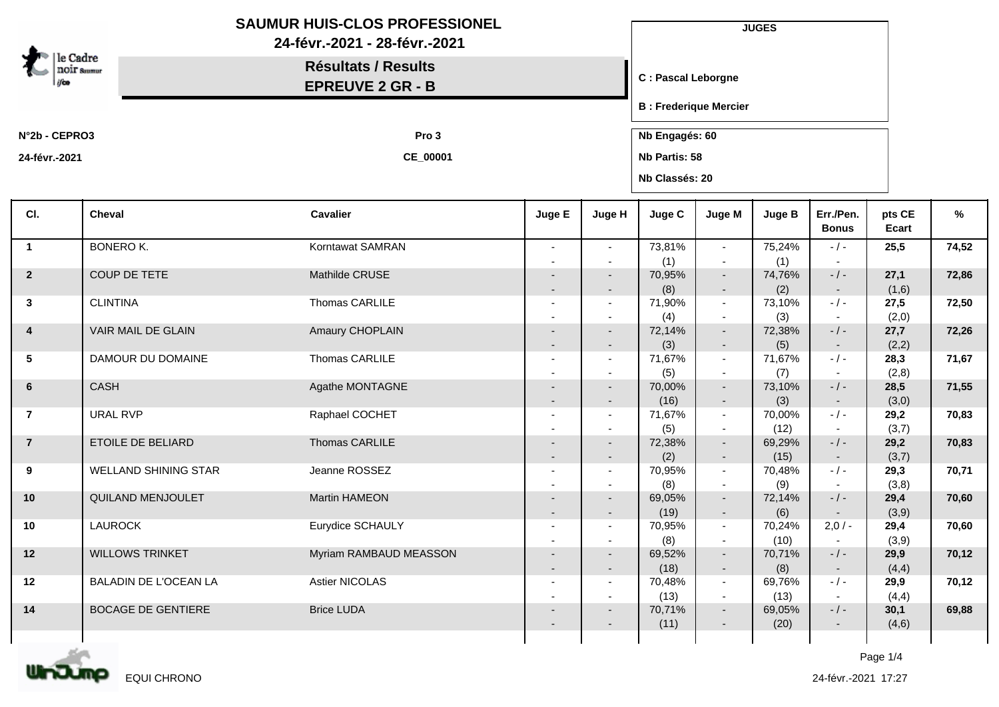| le Cadre<br><b>NOIF Summur</b> |                              | <b>SAUMUR HUIS-CLOS PROFESSIONEL</b><br>24-févr.-2021 - 28-févr.-2021<br><b>Résultats / Results</b><br><b>EPREUVE 2 GR - B</b> |                          |                                                      |                                 | <b>JUGES</b><br><b>C: Pascal Leborgne</b> |                |                           |                 |       |  |
|--------------------------------|------------------------------|--------------------------------------------------------------------------------------------------------------------------------|--------------------------|------------------------------------------------------|---------------------------------|-------------------------------------------|----------------|---------------------------|-----------------|-------|--|
|                                |                              |                                                                                                                                |                          |                                                      | <b>B</b> : Frederique Mercier   |                                           |                |                           |                 |       |  |
| N°2b - CEPRO3                  |                              | Pro 3                                                                                                                          | Nb Engagés: 60           |                                                      |                                 |                                           |                |                           |                 |       |  |
| 24-févr.-2021                  |                              | CE_00001                                                                                                                       |                          |                                                      | Nb Partis: 58<br>Nb Classés: 20 |                                           |                |                           |                 |       |  |
| CI.                            | Cheval                       | <b>Cavalier</b>                                                                                                                | Juge E                   | Juge H                                               | Juge C                          | Juge M                                    | <b>Juge B</b>  | Err./Pen.<br><b>Bonus</b> | pts CE<br>Ecart | %     |  |
| $\overline{\mathbf{1}}$        | <b>BONERO K.</b>             | Korntawat SAMRAN                                                                                                               | $\blacksquare$           | $\blacksquare$                                       | 73,81%                          | $\sim$                                    | 75,24%         | $-/-$                     | 25,5            | 74,52 |  |
| $\overline{2}$                 | COUP DE TETE                 | Mathilde CRUSE                                                                                                                 |                          | $\overline{\phantom{a}}$                             | (1)<br>70,95%                   | $\overline{\phantom{a}}$<br>$\sim$        | (1)<br>74,76%  | $- / -$                   | 27,1            | 72,86 |  |
|                                |                              |                                                                                                                                |                          | $\overline{\phantom{a}}$                             | (8)                             | $\sim$                                    | (2)            | $\sim$                    | (1,6)           |       |  |
| $\mathbf{3}$                   | <b>CLINTINA</b>              | Thomas CARLILE                                                                                                                 |                          | $\blacksquare$<br>$\overline{\phantom{a}}$           | 71,90%<br>(4)                   | $\sim$<br>$\sim$                          | 73,10%<br>(3)  | $-$ / $-$                 | 27,5<br>(2,0)   | 72,50 |  |
| $\overline{4}$                 | VAIR MAIL DE GLAIN           | Amaury CHOPLAIN                                                                                                                |                          | $\overline{\phantom{a}}$                             | 72,14%                          | $\sim$                                    | 72,38%         | $-/-$                     | 27,7            | 72,26 |  |
| $5\overline{)}$                | DAMOUR DU DOMAINE            | Thomas CARLILE                                                                                                                 |                          | $\overline{\phantom{a}}$<br>$\overline{\phantom{a}}$ | (3)<br>71,67%                   | $\sim$<br>$\sim$                          | (5)<br>71,67%  | $\sim$<br>$-$ / $-$       | (2,2)<br>28,3   | 71,67 |  |
|                                |                              |                                                                                                                                |                          | $\overline{\phantom{a}}$                             | (5)                             | $\sim$                                    | (7)            |                           | (2,8)           |       |  |
| 6                              | CASH                         | Agathe MONTAGNE                                                                                                                | $\overline{\phantom{a}}$ | $\overline{\phantom{a}}$<br>$\overline{\phantom{a}}$ | 70,00%<br>(16)                  | $\overline{\phantom{a}}$<br>$\sim$        | 73,10%<br>(3)  | $-/-$<br>$\sim$           | 28,5<br>(3,0)   | 71,55 |  |
| $\overline{7}$                 | <b>URAL RVP</b>              | Raphael COCHET                                                                                                                 |                          | $\blacksquare$                                       | 71,67%                          | $\sim$                                    | 70,00%         | $-$ / $-$                 | 29,2            | 70,83 |  |
|                                |                              |                                                                                                                                |                          |                                                      | (5)                             | $\overline{\phantom{a}}$                  | (12)           | $\sim$                    | (3,7)           |       |  |
| $\overline{7}$                 | ETOILE DE BELIARD            | Thomas CARLILE                                                                                                                 |                          | $\sim$<br>$\overline{\phantom{a}}$                   | 72,38%<br>(2)                   | $\sim$                                    | 69,29%<br>(15) | $-/-$                     | 29,2<br>(3,7)   | 70,83 |  |
| 9                              | WELLAND SHINING STAR         | Jeanne ROSSEZ                                                                                                                  | $\blacksquare$           | $\blacksquare$                                       | 70,95%                          | $\sim$<br>$\sim$                          | 70,48%         | $-/-$                     | 29,3            | 70,71 |  |
|                                |                              |                                                                                                                                |                          | $\overline{\phantom{a}}$                             | (8)                             |                                           | (9)            |                           | (3,8)           |       |  |
| 10                             | QUILAND MENJOULET            | Martin HAMEON                                                                                                                  |                          | $\overline{\phantom{a}}$<br>$\overline{\phantom{a}}$ | 69,05%                          | $\sim$<br>$\overline{\phantom{a}}$        | 72,14%         | $-/-$                     | 29,4            | 70,60 |  |
| 10                             | <b>LAUROCK</b>               | Eurydice SCHAULY                                                                                                               |                          |                                                      | (19)<br>70,95%                  | $\overline{\phantom{a}}$                  | (6)<br>70,24%  | $2,0/-$                   | (3,9)<br>29,4   | 70,60 |  |
|                                |                              |                                                                                                                                | ٠                        |                                                      | (8)                             |                                           | (10)           |                           | (3,9)           |       |  |
| 12                             | <b>WILLOWS TRINKET</b>       | Myriam RAMBAUD MEASSON                                                                                                         | ٠                        | $\overline{\phantom{a}}$<br>$\overline{\phantom{a}}$ | 69,52%<br>(18)                  | $\overline{\phantom{a}}$<br>$\sim$        | 70,71%<br>(8)  | $-/-$<br>$\sim$           | 29,9<br>(4,4)   | 70,12 |  |
| 12                             | <b>BALADIN DE L'OCEAN LA</b> | Astier NICOLAS                                                                                                                 |                          | $\blacksquare$                                       | 70,48%                          | $\sim$                                    | 69,76%         | $-$ / $-$                 | 29,9            | 70,12 |  |
| 14                             | <b>BOCAGE DE GENTIERE</b>    | <b>Brice LUDA</b>                                                                                                              | ٠                        | $\overline{\phantom{a}}$<br>$\overline{\phantom{a}}$ | (13)<br>70,71%                  | $\sim$<br>$\sim$                          | (13)<br>69,05% | $-/-$                     | (4,4)<br>30,1   | 69,88 |  |
|                                |                              |                                                                                                                                |                          | $\overline{\phantom{a}}$                             | (11)                            | $\sim$                                    | (20)           | $\sim$                    | (4,6)           |       |  |
|                                |                              |                                                                                                                                |                          |                                                      |                                 |                                           |                |                           |                 |       |  |

EQUI CHRONO

U

3 T

Page 1/4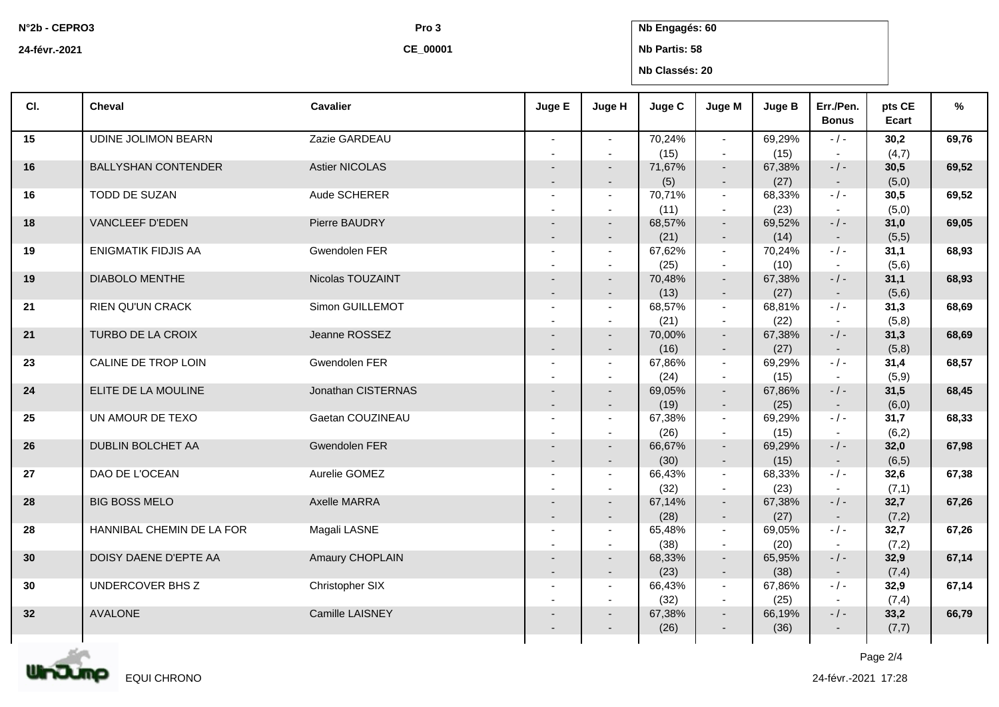**N°2b - CEPRO3**

**Pro 3 Nb Engagés: 60**

**24-févr.-2021**

**CE\_00001**

## **Nb Partis: 58 Nb Classés: 20**

| CI. | <b>Cheval</b>              | <b>Cavalier</b>    | Juge E                                     | Juge H                             | Juge C         | Juge M                             | Juge B         | Err./Pen.<br><b>Bonus</b> | pts CE<br>Ecart | %     |
|-----|----------------------------|--------------------|--------------------------------------------|------------------------------------|----------------|------------------------------------|----------------|---------------------------|-----------------|-------|
| 15  | <b>UDINE JOLIMON BEARN</b> | Zazie GARDEAU      | $\overline{\phantom{a}}$                   | $\sim$<br>$\overline{\phantom{a}}$ | 70,24%<br>(15) | $\sim$<br>$\blacksquare$           | 69,29%<br>(15) | $-/-$                     | 30,2<br>(4,7)   | 69,76 |
| 16  | <b>BALLYSHAN CONTENDER</b> | Astier NICOLAS     |                                            | $\overline{\phantom{a}}$           | 71,67%<br>(5)  | $\sim$<br>$\sim$                   | 67,38%<br>(27) | $-$ / $-$<br>$\sim$       | 30,5<br>(5,0)   | 69,52 |
| 16  | TODD DE SUZAN              | Aude SCHERER       |                                            | $\overline{a}$                     | 70,71%<br>(11) | $\sim$<br>$\sim$                   | 68,33%<br>(23) | $-$ / $-$<br>$\sim$       | 30,5<br>(5,0)   | 69,52 |
| 18  | VANCLEEF D'EDEN            | Pierre BAUDRY      | $\overline{\phantom{a}}$                   |                                    | 68,57%         | $\sim$                             | 69,52%         | $-$ / $-$                 | 31,0            | 69,05 |
| 19  | <b>ENIGMATIK FIDJIS AA</b> | Gwendolen FER      |                                            | $\overline{\phantom{a}}$<br>$\sim$ | (21)<br>67,62% | $\overline{\phantom{a}}$<br>$\sim$ | (14)<br>70,24% | $\sim$<br>$-/-$           | (5,5)<br>31,1   | 68,93 |
| 19  | <b>DIABOLO MENTHE</b>      | Nicolas TOUZAINT   |                                            | $\overline{\phantom{a}}$           | (25)<br>70,48% | $\sim$<br>$\sim$                   | (10)<br>67,38% | $-$ / $-$                 | (5,6)<br>31,1   | 68,93 |
| 21  | <b>RIEN QU'UN CRACK</b>    | Simon GUILLEMOT    | $\overline{\phantom{a}}$<br>$\overline{a}$ | $\overline{\phantom{a}}$<br>$\sim$ | (13)<br>68,57% | $\sim$<br>$\sim$                   | (27)<br>68,81% | $\sim$<br>$-$ / $-$       | (5,6)<br>31,3   | 68,69 |
| 21  | TURBO DE LA CROIX          | Jeanne ROSSEZ      |                                            |                                    | (21)<br>70,00% | $\sim$<br>$\sim$                   | (22)<br>67,38% | $-$ / $-$                 | (5,8)<br>31,3   | 68,69 |
| 23  | CALINE DE TROP LOIN        | Gwendolen FER      |                                            | $\overline{\phantom{a}}$<br>$\sim$ | (16)<br>67,86% | $\sim$<br>$\sim$                   | (27)<br>69,29% | $\sim$<br>$-$ / $-$       | (5,8)<br>31,4   | 68,57 |
| 24  | ELITE DE LA MOULINE        | Jonathan CISTERNAS |                                            |                                    | (24)<br>69,05% | $\sim$<br>$\sim$                   | (15)<br>67,86% | $\sim$<br>$-/-$           | (5,9)<br>31,5   | 68,45 |
| 25  | UN AMOUR DE TEXO           | Gaetan COUZINEAU   |                                            | $\sim$                             | (19)<br>67,38% | $\sim$<br>$\sim$                   | (25)<br>69,29% | $\sim$<br>$-/-$           | (6, 0)<br>31,7  | 68,33 |
|     |                            |                    |                                            |                                    | (26)           | $\sim$                             | (15)           |                           | (6,2)           |       |
| 26  | DUBLIN BOLCHET AA          | Gwendolen FER      | $\overline{\phantom{a}}$                   | $\overline{\phantom{a}}$           | 66,67%<br>(30) | $\sim$<br>$\sim$                   | 69,29%<br>(15) | $-$ / $-$<br>$\sim$       | 32,0<br>(6, 5)  | 67,98 |
| 27  | DAO DE L'OCEAN             | Aurelie GOMEZ      | $\overline{\phantom{a}}$                   |                                    | 66,43%<br>(32) | $\sim$<br>$\sim$                   | 68,33%<br>(23) | $-$ / $-$<br>$\sim$       | 32,6<br>(7,1)   | 67,38 |
| 28  | <b>BIG BOSS MELO</b>       | Axelle MARRA       |                                            | $\overline{\phantom{a}}$           | 67,14%<br>(28) | $\sim$<br>$\sim$                   | 67,38%<br>(27) | $-$ / $-$<br>$\sim$       | 32,7<br>(7,2)   | 67,26 |
| 28  | HANNIBAL CHEMIN DE LA FOR  | Magali LASNE       | $\overline{\phantom{a}}$                   | $\overline{a}$                     | 65,48%<br>(38) | $\sim$<br>$\sim$                   | 69,05%<br>(20) | $-/-$<br>$\sim$           | 32,7<br>(7,2)   | 67,26 |
| 30  | DOISY DAENE D'EPTE AA      | Amaury CHOPLAIN    | $\overline{\phantom{a}}$                   | $\overline{\phantom{a}}$           | 68,33%<br>(23) | $\sim$<br>$\overline{\phantom{a}}$ | 65,95%<br>(38) | $-$ / $-$<br>$\sim$       | 32,9<br>(7, 4)  | 67,14 |
| 30  | UNDERCOVER BHS Z           | Christopher SIX    |                                            | $\sim$                             | 66,43%<br>(32) | $\sim$<br>$\sim$                   | 67,86%<br>(25) | $-$ / $-$<br>$\sim$       | 32,9<br>(7,4)   | 67,14 |
| 32  | <b>AVALONE</b>             | Camille LAISNEY    |                                            |                                    | 67,38%         | $\overline{\phantom{a}}$           | 66,19%         | $-/-$                     | 33,2            | 66,79 |
|     |                            |                    |                                            |                                    | (26)           |                                    | (36)           |                           | (7,7)           |       |

Page 2/4

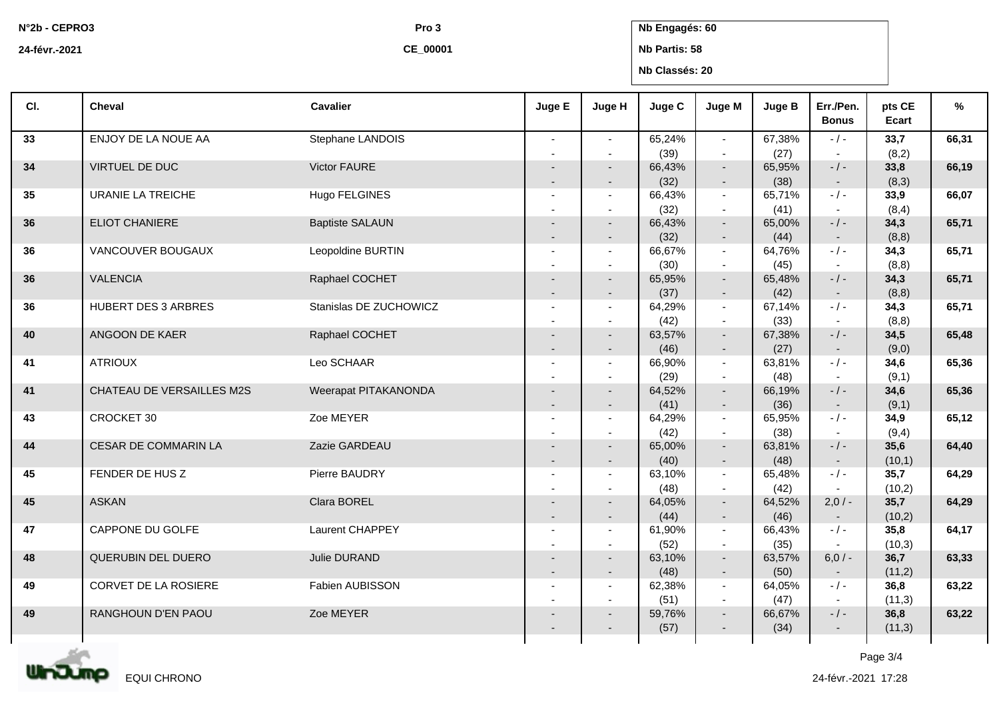**N°2b - CEPRO3**

**Pro 3 Nb Engagés: 60**

**24-févr.-2021**

**CE\_00001**

**Nb Partis: 58 Nb Classés: 20**

| CI. | <b>Cheval</b>             | <b>Cavalier</b>        | Juge E                                     | Juge H                             | Juge C         | Juge M                   | Juge B         | Err./Pen.<br><b>Bonus</b> | pts CE<br>Ecart | %     |
|-----|---------------------------|------------------------|--------------------------------------------|------------------------------------|----------------|--------------------------|----------------|---------------------------|-----------------|-------|
| 33  | ENJOY DE LA NOUE AA       | Stephane LANDOIS       |                                            | $\sim$                             | 65,24%<br>(39) | $\sim$<br>$\sim$         | 67,38%<br>(27) | $-$ / $-$                 | 33,7<br>(8,2)   | 66,31 |
| 34  | VIRTUEL DE DUC            | Victor FAURE           |                                            |                                    | 66,43%         | $\sim$                   | 65.95%         | $-$ / $-$                 | 33,8            | 66,19 |
|     |                           |                        | $\overline{\phantom{a}}$                   | $\overline{\phantom{a}}$           | (32)           | $\sim$                   | (38)           | $\sim$                    | (8,3)           |       |
| 35  | <b>URANIE LA TREICHE</b>  | Hugo FELGINES          |                                            | $\sim$                             | 66,43%         | $\sim$                   | 65,71%         | $-$ / $-$                 | 33,9            | 66,07 |
|     |                           |                        |                                            |                                    | (32)           | $\sim$                   | (41)           | $\sim$<br>$-/-$           | (8,4)           |       |
| 36  | <b>ELIOT CHANIERE</b>     | <b>Baptiste SALAUN</b> |                                            |                                    | 66,43%<br>(32) | $\sim$                   | 65,00%<br>(44) |                           | 34,3<br>(8, 8)  | 65,71 |
| 36  | VANCOUVER BOUGAUX         | Leopoldine BURTIN      | $\overline{\phantom{a}}$<br>$\overline{a}$ | $\overline{\phantom{a}}$<br>$\sim$ | 66,67%         | $\sim$<br>$\sim$         | 64.76%         | $\sim$<br>$-/-$           | 34,3            | 65,71 |
|     |                           |                        |                                            |                                    | (30)           | $\sim$                   | (45)           |                           | (8, 8)          |       |
| 36  | <b>VALENCIA</b>           | Raphael COCHET         |                                            |                                    | 65,95%         | $\sim$                   | 65,48%         | $-$ / $-$                 | 34,3            | 65,71 |
|     |                           |                        |                                            | $\overline{\phantom{a}}$           | (37)           | $\sim$                   | (42)           | $\sim$                    | (8,8)           |       |
| 36  | HUBERT DES 3 ARBRES       | Stanislas DE ZUCHOWICZ |                                            |                                    | 64,29%         | $\sim$                   | 67,14%         | $-$ / $-$                 | 34,3            | 65,71 |
|     |                           |                        |                                            |                                    | (42)           | $\sim$                   | (33)           |                           | (8,8)           |       |
| 40  | ANGOON DE KAER            | Raphael COCHET         |                                            |                                    | 63,57%         | $\sim$                   | 67,38%         | $-$ / $-$                 | 34,5            | 65,48 |
|     |                           |                        | $\overline{\phantom{a}}$                   | $\overline{\phantom{a}}$           | (46)           | $\sim$                   | (27)           | $\sim$                    | (9,0)           |       |
| 41  | <b>ATRIOUX</b>            | Leo SCHAAR             |                                            |                                    | 66,90%         | $\sim$                   | 63,81%         | $-/-$                     | 34,6            | 65,36 |
|     |                           |                        |                                            |                                    | (29)           | $\sim$                   | (48)           |                           | (9,1)           |       |
| 41  | CHATEAU DE VERSAILLES M2S | Weerapat PITAKANONDA   |                                            |                                    | 64,52%         | $\sim$                   | 66,19%         | $-$ / $-$                 | 34,6            | 65,36 |
|     |                           |                        | $\overline{\phantom{a}}$                   | $\overline{\phantom{a}}$           | (41)           | $\sim$                   | (36)           | $\sim$                    | (9,1)           |       |
| 43  | CROCKET 30                | Zoe MEYER              |                                            |                                    | 64,29%         | $\sim$                   | 65,95%         | $-$ / $-$                 | 34,9            | 65,12 |
|     |                           |                        |                                            |                                    | (42)           | $\sim$                   | (38)           | $\sim$                    | (9,4)           |       |
| 44  | CESAR DE COMMARIN LA      | Zazie GARDEAU          |                                            |                                    | 65,00%         | $\sim$                   | 63,81%         | $-$ / $-$                 | 35,6            | 64,40 |
|     |                           |                        | $\overline{\phantom{a}}$                   | $\overline{\phantom{a}}$           | (40)           | $\sim$                   | (48)           | $\sim$                    | (10,1)          |       |
| 45  | FENDER DE HUS Z           | Pierre BAUDRY          |                                            |                                    | 63,10%         | $\sim$                   | 65,48%         | $-/-$                     | 35,7            | 64,29 |
|     |                           |                        |                                            |                                    | (48)           | $\sim$                   | (42)           |                           | (10,2)          |       |
| 45  | <b>ASKAN</b>              | Clara BOREL            |                                            |                                    | 64,05%         | $\sim$                   | 64,52%         | $2,0/-$                   | 35,7            | 64,29 |
| 47  | CAPPONE DU GOLFE          | Laurent CHAPPEY        | $\overline{\phantom{a}}$                   | $\overline{\phantom{a}}$<br>$\sim$ | (44)<br>61,90% | $\sim$<br>$\sim$         | (46)<br>66,43% | $\sim$<br>$-/-$           | (10,2)<br>35,8  | 64,17 |
|     |                           |                        |                                            |                                    | (52)           | $\sim$                   | (35)           |                           | (10,3)          |       |
| 48  | QUERUBIN DEL DUERO        | Julie DURAND           |                                            |                                    | 63,10%         | $\sim$                   | 63,57%         | $6,0/-$                   | 36,7            | 63,33 |
|     |                           |                        | $\overline{\phantom{a}}$                   | $\overline{\phantom{a}}$           | (48)           | $\sim$                   | (50)           | $\sim$                    | (11,2)          |       |
| 49  | CORVET DE LA ROSIERE      | Fabien AUBISSON        |                                            |                                    | 62,38%         | $\sim$                   | 64,05%         | $-/-$                     | 36,8            | 63,22 |
|     |                           |                        |                                            |                                    | (51)           | $\sim$                   | (47)           |                           | (11,3)          |       |
| 49  | RANGHOUN D'EN PAOU        | Zoe MEYER              |                                            |                                    | 59,76%         | $\blacksquare$           | 66,67%         | $-$ / $-$                 | 36,8            | 63,22 |
|     |                           |                        |                                            |                                    | (57)           | $\overline{\phantom{a}}$ | (34)           | $\sim$                    | (11,3)          |       |
|     |                           |                        |                                            |                                    |                |                          |                |                           |                 |       |



Page 3/4